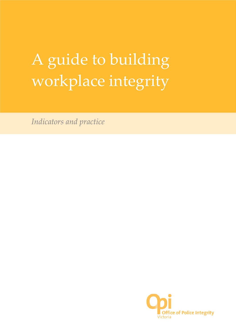# A guide to building workplace integrity

Indicators and practice

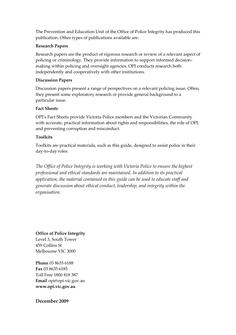The Prevention and Education Unit of the Office of Police Integrity has produced this publication. Other types of publications available are:

#### Research Papers

Research papers are the product of rigorous research or review of a relevant aspect of policing or criminology. They provide information to support informed decisionmaking within policing and oversight agencies. OPI conducts research both independently and cooperatively with other institutions.

#### Discussion Papers

Discussion papers present a range of perspectives on a relevant policing issue. Often, they present some exploratory research or provide general background to a particular issue.

#### Fact Sheets

OPI's Fact Sheets provide Victoria Police members and the Victorian Community with accurate, practical information about rights and responsibilities, the role of OPI, and preventing corruption and misconduct.

#### **Toolkits**

Toolkits are practical materials, such as this guide, designed to assist police in their day-to-day roles.

The Office of Police Integrity is working with Victoria Police to ensure the highest professional and ethical standards are maintained. In addition to its practical application, the material contained in this guide can be used to educate staff and generate discussion about ethical conduct, leadership, and integrity within the organisation.

#### Office of Police Integrity

Level 3, South Tower 459 Collins St Melbourne VIC 3000

Phone 03 8635 6188 Fax 03 8635 6185 Toll Free 1800 818 387 Email opi@opi.vic.gov.au www.opi.vic.gov.au

#### December 2009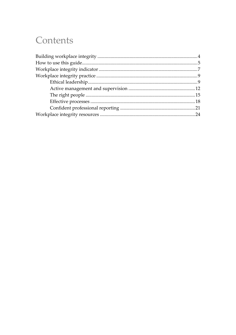# Contents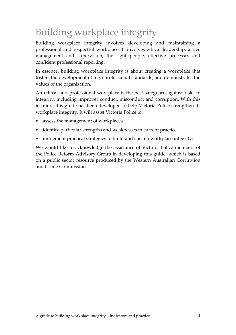# Building workplace integrity

Building workplace integrity involves developing and maintaining a professional and respectful workplace. It involves ethical leadership, active management and supervision, the right people, effective processes and confident professional reporting.

In essence, building workplace integrity is about creating a workplace that fosters the development of high professional standards, and demonstrates the values of the organisation.

An ethical and professional workplace is the best safeguard against risks to integrity, including improper conduct, misconduct and corruption. With this in mind, this guide has been developed to help Victoria Police strengthen its workplace integrity. It will assist Victoria Police to:

- assess the management of workplaces
- identify particular strengths and weaknesses in current practice
- implement practical strategies to build and sustain workplace integrity.

We would like to acknowledge the assistance of Victoria Police members of the Police Reform Advisory Group in developing this guide, which is based on a public sector resource produced by the Western Australian Corruption and Crime Commission.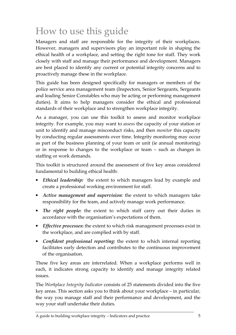# How to use this guide

Managers and staff are responsible for the integrity of their workplaces. However, managers and supervisors play an important role in shaping the ethical health of a workplace, and setting the right tone for staff. They work closely with staff and manage their performance and development. Managers are best placed to identify any current or potential integrity concerns and to proactively manage these in the workplace.

This guide has been designed specifically for managers or members of the police service area management team (Inspectors, Senior Sergeants, Sergeants and leading Senior Constables who may be acting or performing management duties). It aims to help managers consider the ethical and professional standards of their workplace and to strengthen workplace integrity.

As a manager, you can use this toolkit to assess and monitor workplace integrity. For example, you may want to assess the capacity of your station or unit to identify and manage misconduct risks, and then monitor this capacity by conducting regular assessments over time. Integrity monitoring may occur as part of the business planning of your team or unit (ie annual monitoring) or in response to changes to the workplace or team – such as changes in staffing or work demands.

This toolkit is structured around the assessment of five key areas considered fundamental to building ethical health:

- Ethical leadership: the extent to which managers lead by example and create a professional working environment for staff.
- Active management and supervision: the extent to which managers take responsibility for the team, and actively manage work performance.
- The right people: the extent to which staff carry out their duties in accordance with the organisation's expectations of them.
- Effective processes: the extent to which risk management processes exist in the workplace, and are complied with by staff.
- Confident professional reporting: the extent to which internal reporting facilitates early detection and contributes to the continuous improvement of the organisation.

These five key areas are interrelated. When a workplace performs well in each, it indicates strong capacity to identify and manage integrity related issues.

The Workplace Integrity Indicator consists of 25 statements divided into the five key areas. This section asks you to think about your workplace – in particular, the way you manage staff and their performance and development, and the way your staff undertake their duties.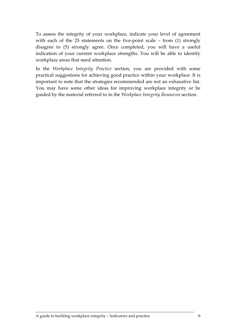To assess the integrity of your workplace, indicate your level of agreement with each of the 25 statements on the five-point scale – from (1) strongly disagree to (5) strongly agree. Once completed, you will have a useful indication of your current workplace strengths. You will be able to identify workplace areas that need attention.

In the Workplace Integrity Practice section, you are provided with some practical suggestions for achieving good practice within your workplace. It is important to note that the strategies recommended are not an exhaustive list. You may have some other ideas for improving workplace integrity or be guided by the material referred to in the Workplace Integrity Resources section.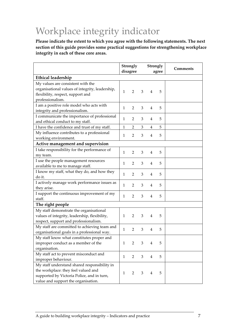# Workplace integrity indicator

Please indicate the extent to which you agree with the following statements. The next section of this guide provides some practical suggestions for strengthening workplace integrity in each of these core areas.

|                                                                                                                                                                          | Strongly<br>disagree |                |   | Strongly<br>agree       |   | Comments |
|--------------------------------------------------------------------------------------------------------------------------------------------------------------------------|----------------------|----------------|---|-------------------------|---|----------|
| <b>Ethical leadership</b>                                                                                                                                                |                      |                |   |                         |   |          |
| My values are consistent with the<br>organisational values of integrity, leadership,<br>flexibility, respect, support and<br>professionalism.                            | $\mathbf{1}$         | $\overline{2}$ | 3 | $\overline{4}$          | 5 |          |
| I am a positive role model who acts with<br>integrity and professionalism.                                                                                               | $\mathbf{1}$         | $\overline{2}$ | 3 | $\overline{4}$          | 5 |          |
| I communicate the importance of professional<br>and ethical conduct to my staff.                                                                                         | $\mathbf{1}$         | $\overline{2}$ | 3 | $\overline{4}$          | 5 |          |
| I have the confidence and trust of my staff.                                                                                                                             | 1                    | $\overline{2}$ | 3 | $\overline{4}$          | 5 |          |
| My influence contributes to a professional<br>working environment.                                                                                                       | $\mathbf{1}$         | $\overline{2}$ | 3 | $\overline{4}$          | 5 |          |
| Active management and supervision                                                                                                                                        |                      |                |   |                         |   |          |
| I take responsibility for the performance of<br>my team.                                                                                                                 | $\mathbf{1}$         | $\overline{2}$ | 3 | $\overline{4}$          | 5 |          |
| I use the people management resources<br>available to me to manage staff.                                                                                                | $\mathbf{1}$         | $\overline{2}$ | 3 | $\overline{4}$          | 5 |          |
| I know my staff, what they do, and how they<br>do it.                                                                                                                    | $\mathbf{1}$         | $\overline{2}$ | 3 | $\overline{4}$          | 5 |          |
| I actively manage work performance issues as<br>they arise.                                                                                                              | $\mathbf{1}$         | $\overline{2}$ | 3 | $\overline{4}$          | 5 |          |
| I support the continuous improvement of my<br>staff.                                                                                                                     | $\mathbf{1}$         | $\overline{2}$ | 3 | $\overline{4}$          | 5 |          |
| The right people                                                                                                                                                         |                      |                |   |                         |   |          |
| My staff demonstrate the organisational<br>values of integrity, leadership, flexibility,<br>respect, support and professionalism.                                        | $\mathbf{1}$         | $\overline{2}$ | 3 | $\overline{\mathbf{4}}$ | 5 |          |
| My staff are committed to achieving team and<br>organisational goals in a professional way.                                                                              | $\mathbf{1}$         | $\overline{2}$ | 3 | $\overline{4}$          | 5 |          |
| My staff know what constitutes proper and<br>improper conduct as a member of the<br>organisation.                                                                        | 1                    | $\overline{2}$ | 3 | $\overline{\mathbf{4}}$ | 5 |          |
| My staff act to prevent misconduct and<br>improper behaviour.                                                                                                            | $\mathbf{1}$         | $\overline{2}$ | 3 | $\overline{4}$          | 5 |          |
| My staff understand shared responsibility in<br>the workplace: they feel valued and<br>supported by Victoria Police, and in turn,<br>value and support the organisation. | $\mathbf{1}$         | $\overline{2}$ | 3 | 4                       | 5 |          |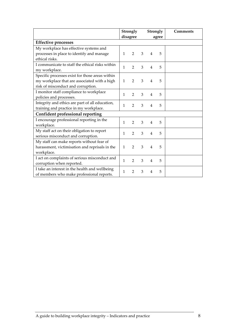|                                                 | Strongly     |                |   | Strongly       |       | Comments |
|-------------------------------------------------|--------------|----------------|---|----------------|-------|----------|
|                                                 | disagree     |                |   |                | agree |          |
| <b>Effective processes</b>                      |              |                |   |                |       |          |
| My workplace has effective systems and          |              |                |   |                |       |          |
| processes in place to identify and manage       | 1            | 2              | 3 | $\overline{4}$ | 5     |          |
| ethical risks.                                  |              |                |   |                |       |          |
| I communicate to staff the ethical risks within | $\mathbf{1}$ | $\overline{2}$ | 3 | $\overline{4}$ | 5     |          |
| my workplace.                                   |              |                |   |                |       |          |
| Specific processes exist for those areas within |              |                |   |                |       |          |
| my workplace that are associated with a high    | $\mathbf{1}$ | $\overline{2}$ | 3 | 4              | 5     |          |
| risk of misconduct and corruption.              |              |                |   |                |       |          |
| I monitor staff compliance to workplace         | 1            | $\overline{2}$ | 3 | $\overline{4}$ | 5     |          |
| policies and processes.                         |              |                |   |                |       |          |
| Integrity and ethics are part of all education, | $\mathbf{1}$ | $\mathcal{L}$  | 3 | $\overline{4}$ | 5     |          |
| training and practice in my workplace.          |              |                |   |                |       |          |
| Confident professional reporting                |              |                |   |                |       |          |
| I encourage professional reporting in the       | $\mathbf{1}$ | $\overline{2}$ | 3 | $\overline{4}$ | 5     |          |
| workplace.                                      |              |                |   |                |       |          |
| My staff act on their obligation to report      | $\mathbf{1}$ | $\overline{2}$ | 3 | $\overline{4}$ | 5     |          |
| serious misconduct and corruption.              |              |                |   |                |       |          |
| My staff can make reports without fear of       |              |                |   |                |       |          |
| harassment, victimisation and reprisals in the  | $\mathbf{1}$ | 2              | 3 | $\overline{4}$ | 5     |          |
| workplace.                                      |              |                |   |                |       |          |
| I act on complaints of serious misconduct and   | $\mathbf{1}$ | $\overline{2}$ | 3 | $\overline{4}$ | 5     |          |
| corruption when reported.                       |              |                |   |                |       |          |
| I take an interest in the health and wellbeing  | 1            | $\overline{2}$ | 3 | $\overline{4}$ | 5     |          |
| of members who make professional reports.       |              |                |   |                |       |          |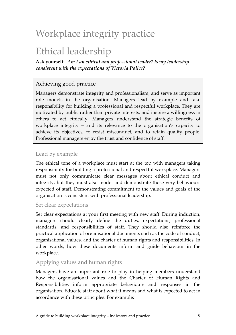# Workplace integrity practice

# Ethical leadership

Ask yourself - Am I an ethical and professional leader? Is my leadership consistent with the expectations of Victoria Police?

# Achieving good practice

Managers demonstrate integrity and professionalism, and serve as important role models in the organisation. Managers lead by example and take responsibility for building a professional and respectful workplace. They are motivated by public rather than private interests, and inspire a willingness in others to act ethically. Managers understand the strategic benefits of workplace integrity – and its relevance to the organisation's capacity to achieve its objectives, to resist misconduct, and to retain quality people. Professional managers enjoy the trust and confidence of staff.

### Lead by example

The ethical tone of a workplace must start at the top with managers taking responsibility for building a professional and respectful workplace. Managers must not only communicate clear messages about ethical conduct and integrity, but they must also model and demonstrate those very behaviours expected of staff. Demonstrating commitment to the values and goals of the organisation is consistent with professional leadership.

#### Set clear expectations

Set clear expectations at your first meeting with new staff. During induction, managers should clearly define the duties, expectations, professional standards, and responsibilities of staff. They should also reinforce the practical application of organisational documents such as the code of conduct, organisational values, and the charter of human rights and responsibilities. In other words, how these documents inform and guide behaviour in the workplace.

### Applying values and human rights

Managers have an important role to play in helping members understand how the organisational values and the Charter of Human Rights and Responsibilities inform appropriate behaviours and responses in the organisation. Educate staff about what it means and what is expected to act in accordance with these principles. For example: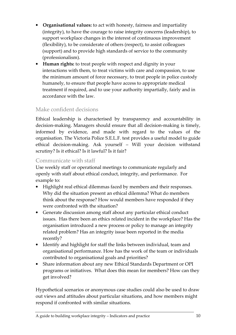- Organisational values: to act with honesty, fairness and impartiality (integrity), to have the courage to raise integrity concerns (leadership), to support workplace changes in the interest of continuous improvement (flexibility), to be considerate of others (respect), to assist colleagues (support) and to provide high standards of service to the community (professionalism).
- Human rights: to treat people with respect and dignity in your interactions with them, to treat victims with care and compassion, to use the minimum amount of force necessary, to treat people in police custody humanely, to ensure that people have access to appropriate medical treatment if required, and to use your authority impartially, fairly and in accordance with the law.

#### Make confident decisions

Ethical leadership is characterised by transparency and accountability in decision-making. Managers should ensure that all decision-making is timely, informed by evidence, and made with regard to the values of the organisation. The Victoria Police S.E.L.F. test provides a useful model to guide ethical decision-making. Ask yourself – Will your decision withstand scrutiny? Is it ethical? Is it lawful? Is it fair?

#### Communicate with staff

Use weekly staff or operational meetings to communicate regularly and openly with staff about ethical conduct, integrity, and performance. For example to:

- Highlight real ethical dilemmas faced by members and their responses. Why did the situation present an ethical dilemma? What do members think about the response? How would members have responded if they were confronted with the situation?
- Generate discussion among staff about any particular ethical conduct issues. Has there been an ethics related incident in the workplace? Has the organisation introduced a new process or policy to manage an integrity related problem? Has an integrity issue been reported in the media recently?
- Identify and highlight for staff the links between individual, team and organisational performance. How has the work of the team or individuals contributed to organisational goals and priorities?
- Share information about any new Ethical Standards Department or OPI programs or initiatives. What does this mean for members? How can they get involved?

Hypothetical scenarios or anonymous case studies could also be used to draw out views and attitudes about particular situations, and how members might respond if confronted with similar situations.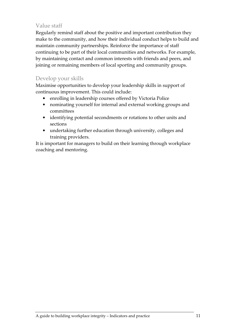### Value staff

Regularly remind staff about the positive and important contribution they make to the community, and how their individual conduct helps to build and maintain community partnerships. Reinforce the importance of staff continuing to be part of their local communities and networks. For example, by maintaining contact and common interests with friends and peers, and joining or remaining members of local sporting and community groups.

### Develop your skills

Maximise opportunities to develop your leadership skills in support of continuous improvement. This could include:

- enrolling in leadership courses offered by Victoria Police
- nominating yourself for internal and external working groups and committees
- identifying potential secondments or rotations to other units and sections
- undertaking further education through university, colleges and training providers.

It is important for managers to build on their learning through workplace coaching and mentoring.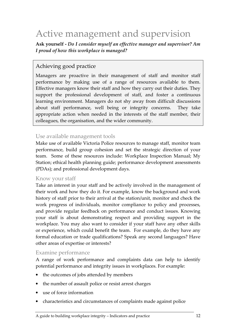# Active management and supervision

Ask yourself - Do I consider myself an effective manager and supervisor? Am I proud of how this workplace is managed?

### Achieving good practice

Managers are proactive in their management of staff and monitor staff performance by making use of a range of resources available to them. Effective managers know their staff and how they carry out their duties. They support the professional development of staff, and foster a continuous learning environment. Managers do not shy away from difficult discussions about staff performance, well being or integrity concerns. They take appropriate action when needed in the interests of the staff member, their colleagues, the organisation, and the wider community.

#### Use available management tools

Make use of available Victoria Police resources to manage staff, monitor team performance, build group cohesion and set the strategic direction of your team. Some of these resources include: Workplace Inspection Manual; My Station; ethical health planning guide; performance development assessments (PDAs); and professional development days.

#### Know your staff

Take an interest in your staff and be actively involved in the management of their work and how they do it. For example, know the background and work history of staff prior to their arrival at the station/unit, monitor and check the work progress of individuals, monitor compliance to policy and processes, and provide regular feedback on performance and conduct issues. Knowing your staff is about demonstrating respect and providing support in the workplace. You may also want to consider if your staff have any other skills or experience, which could benefit the team. For example, do they have any formal education or trade qualifications? Speak any second languages? Have other areas of expertise or interests?

#### Examine performance

A range of work performance and complaints data can help to identify potential performance and integrity issues in workplaces. For example:

- the outcomes of jobs attended by members
- the number of assault police or resist arrest charges
- use of force information
- characteristics and circumstances of complaints made against police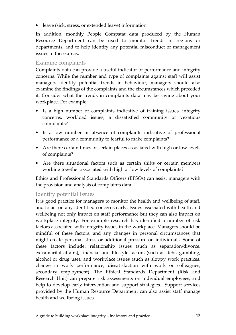• leave (sick, stress, or extended leave) information.

In addition, monthly People Compstat data produced by the Human Resource Department can be used to monitor trends in regions or departments, and to help identify any potential misconduct or management issues in these areas.

### Examine complaints

Complaints data can provide a useful indicator of performance and integrity concerns. While the number and type of complaints against staff will assist managers identify potential trends in behaviour, managers should also examine the findings of the complaints and the circumstances which preceded it. Consider what the trends in complaints data may be saying about your workplace. For example:

- Is a high number of complaints indicative of training issues, integrity concerns, workload issues, a dissatisfied community or vexatious complaints?
- Is a low number or absence of complaints indicative of professional performance or a community to fearful to make complaints?
- Are there certain times or certain places associated with high or low levels of complaints?
- Are there situational factors such as certain shifts or certain members working together associated with high or low levels of complaints?

Ethics and Professional Standards Officers (EPSOs) can assist managers with the provision and analysis of complaints data.

### Identify potential issues

It is good practice for managers to monitor the health and wellbeing of staff, and to act on any identified concerns early. Issues associated with health and wellbeing not only impact on staff performance but they can also impact on workplace integrity. For example research has identified a number of risk factors associated with integrity issues in the workplace. Managers should be mindful of these factors, and any changes in personal circumstances that might create personal stress or additional pressure on individuals. Some of these factors include: relationship issues (such as separation/divorce, extramarital affairs), financial and lifestyle factors (such as debt, gambling, alcohol or drug use), and workplace issues (such as sloppy work practices, change in work performance, dissatisfaction with work or colleagues, secondary employment). The Ethical Standards Department (Risk and Research Unit) can prepare risk assessments on individual employees, and help to develop early intervention and support strategies. Support services provided by the Human Resource Department can also assist staff manage health and wellbeing issues.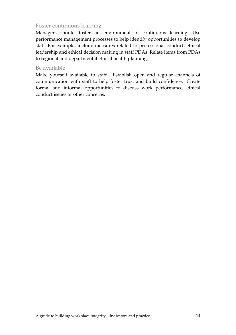#### Foster continuous learning

Managers should foster an environment of continuous learning. Use performance management processes to help identify opportunities to develop staff. For example, include measures related to professional conduct, ethical leadership and ethical decision making in staff PDAs. Relate items from PDAs to regional and departmental ethical health planning.

#### Be available

Make yourself available to staff. Establish open and regular channels of communication with staff to help foster trust and build confidence. Create formal and informal opportunities to discuss work performance, ethical conduct issues or other concerns.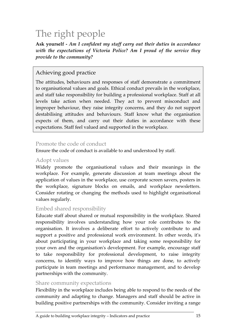# The right people

Ask yourself - Am I confident my staff carry out their duties in accordance with the expectations of Victoria Police? Am I proud of the service they provide to the community?

## Achieving good practice

The attitudes, behaviours and responses of staff demonstrate a commitment to organisational values and goals. Ethical conduct prevails in the workplace, and staff take responsibility for building a professional workplace. Staff at all levels take action when needed. They act to prevent misconduct and improper behaviour, they raise integrity concerns, and they do not support destabilising attitudes and behaviours. Staff know what the organisation expects of them, and carry out their duties in accordance with these expectations. Staff feel valued and supported in the workplace.

#### Promote the code of conduct

Ensure the code of conduct is available to and understood by staff.

### Adopt values

Widely promote the organisational values and their meanings in the workplace. For example, generate discussion at team meetings about the application of values in the workplace, use corporate screen savers, posters in the workplace, signature blocks on emails, and workplace newsletters. Consider rotating or changing the methods used to highlight organisational values regularly.

### Embed shared responsibility

Educate staff about shared or mutual responsibility in the workplace. Shared responsibility involves understanding how your role contributes to the organisation. It involves a deliberate effort to actively contribute to and support a positive and professional work environment. In other words, it's about participating in your workplace and taking some responsibility for your own and the organisation's development. For example, encourage staff to take responsibility for professional development, to raise integrity concerns, to identify ways to improve how things are done, to actively participate in team meetings and performance management, and to develop partnerships with the community.

#### Share community expectations

Flexibility in the workplace includes being able to respond to the needs of the community and adapting to change. Managers and staff should be active in building positive partnerships with the community. Consider inviting a range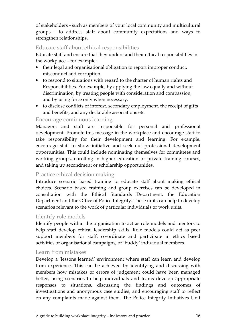of stakeholders - such as members of your local community and multicultural groups - to address staff about community expectations and ways to strengthen relationships.

### Educate staff about ethical responsibilities

Educate staff and ensure that they understand their ethical responsibilities in the workplace – for example:

- their legal and organisational obligation to report improper conduct, misconduct and corruption
- to respond to situations with regard to the charter of human rights and Responsibilities. For example, by applying the law equally and without discrimination, by treating people with consideration and compassion, and by using force only when necessary.
- to disclose conflicts of interest, secondary employment, the receipt of gifts and benefits, and any declarable associations etc.

### Encourage continuous learning

Managers and staff are responsible for personal and professional development. Promote this message in the workplace and encourage staff to take responsibility for their development and learning. For example, encourage staff to show initiative and seek out professional development opportunities. This could include nominating themselves for committees and working groups, enrolling in higher education or private training courses, and taking up secondment or scholarship opportunities.

### Practice ethical decision making

Introduce scenario based training to educate staff about making ethical choices. Scenario based training and group exercises can be developed in consultation with the Ethical Standards Department, the Education Department and the Office of Police Integrity. These units can help to develop scenarios relevant to the work of particular individuals or work units.

### Identify role models

Identify people within the organisation to act as role models and mentors to help staff develop ethical leadership skills. Role models could act as peer support members for staff, co-ordinate and participate in ethics based activities or organisational campaigns, or 'buddy' individual members.

### Learn from mistakes

Develop a 'lessons learned' environment where staff can learn and develop from experience. This can be achieved by identifying and discussing with members how mistakes or errors of judgement could have been managed better, using scenarios to help individuals and teams develop appropriate responses to situations, discussing the findings and outcomes of investigations and anonymous case studies, and encouraging staff to reflect on any complaints made against them. The Police Integrity Initiatives Unit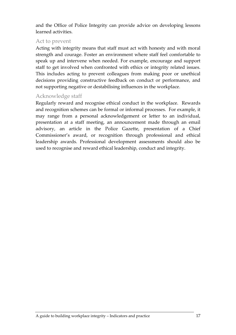and the Office of Police Integrity can provide advice on developing lessons learned activities.

#### Act to prevent

Acting with integrity means that staff must act with honesty and with moral strength and courage. Foster an environment where staff feel comfortable to speak up and intervene when needed. For example, encourage and support staff to get involved when confronted with ethics or integrity related issues. This includes acting to prevent colleagues from making poor or unethical decisions providing constructive feedback on conduct or performance, and not supporting negative or destabilising influences in the workplace.

#### Acknowledge staff

Regularly reward and recognise ethical conduct in the workplace. Rewards and recognition schemes can be formal or informal processes. For example, it may range from a personal acknowledgement or letter to an individual, presentation at a staff meeting, an announcement made through an email advisory, an article in the Police Gazette, presentation of a Chief Commissioner's award, or recognition through professional and ethical leadership awards. Professional development assessments should also be used to recognise and reward ethical leadership, conduct and integrity.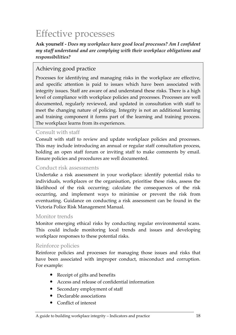# Effective processes

Ask yourself - Does my workplace have good local processes? Am I confident my staff understand and are complying with their workplace obligations and responsibilities?

### Achieving good practice

Processes for identifying and managing risks in the workplace are effective, and specific attention is paid to issues which have been associated with integrity issues. Staff are aware of and understand these risks. There is a high level of compliance with workplace policies and processes. Processes are well documented, regularly reviewed, and updated in consultation with staff to meet the changing nature of policing. Integrity is not an additional learning and training component it forms part of the learning and training process. The workplace learns from its experiences.

#### Consult with staff

Consult with staff to review and update workplace policies and processes. This may include introducing an annual or regular staff consultation process, holding an open staff forum or inviting staff to make comments by email. Ensure policies and procedures are well documented.

#### Conduct risk assessments

Undertake a risk assessment in your workplace: identify potential risks to individuals, workplaces or the organisation, prioritise these risks, assess the likelihood of the risk occurring; calculate the consequences of the risk occurring, and implement ways to minimise or prevent the risk from eventuating. Guidance on conducting a risk assessment can be found in the Victoria Police Risk Management Manual.

#### Monitor trends

Monitor emerging ethical risks by conducting regular environmental scans. This could include monitoring local trends and issues and developing workplace responses to these potential risks.

#### Reinforce policies

Reinforce policies and processes for managing those issues and risks that have been associated with improper conduct, misconduct and corruption. For example:

- Receipt of gifts and benefits
- Access and release of confidential information
- Secondary employment of staff
- Declarable associations
- Conflict of interest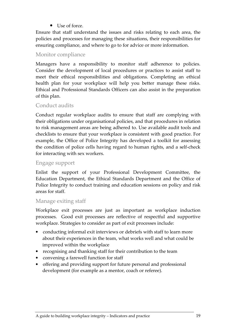• Use of force

Ensure that staff understand the issues and risks relating to each area, the policies and processes for managing these situations, their responsibilities for ensuring compliance, and where to go to for advice or more information.

#### Monitor compliance

Managers have a responsibility to monitor staff adherence to policies. Consider the development of local procedures or practices to assist staff to meet their ethical responsibilities and obligations. Completing an ethical health plan for your workplace will help you better manage these risks. Ethical and Professional Standards Officers can also assist in the preparation of this plan.

#### Conduct audits

Conduct regular workplace audits to ensure that staff are complying with their obligations under organisational policies, and that procedures in relation to risk management areas are being adhered to. Use available audit tools and checklists to ensure that your workplace is consistent with good practice. For example, the Office of Police Integrity has developed a toolkit for assessing the condition of police cells having regard to human rights, and a self-check for interacting with sex workers.

#### Engage support

Enlist the support of your Professional Development Committee, the Education Department, the Ethical Standards Department and the Office of Police Integrity to conduct training and education sessions on policy and risk areas for staff.

#### Manage exiting staff

Workplace exit processes are just as important as workplace induction processes. Good exit processes are reflective of respectful and supportive workplace. Strategies to consider as part of exit processes include:

- conducting informal exit interviews or debriefs with staff to learn more about their experiences in the team, what works well and what could be improved within the workplace
- recognising and thanking staff for their contribution to the team
- convening a farewell function for staff
- offering and providing support for future personal and professional development (for example as a mentor, coach or referee).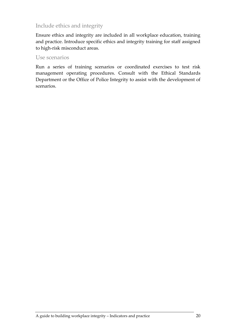#### Include ethics and integrity

Ensure ethics and integrity are included in all workplace education, training and practice. Introduce specific ethics and integrity training for staff assigned to high-risk misconduct areas.

#### Use scenarios

Run a series of training scenarios or coordinated exercises to test risk management operating procedures. Consult with the Ethical Standards Department or the Office of Police Integrity to assist with the development of scenarios.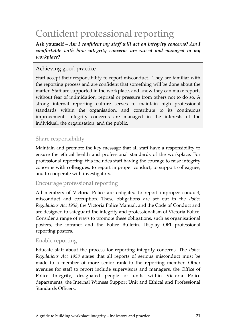# Confident professional reporting

Ask yourself – Am I confident my staff will act on integrity concerns? Am I comfortable with how integrity concerns are raised and managed in my workplace?

### Achieving good practice

Staff accept their responsibility to report misconduct. They are familiar with the reporting process and are confident that something will be done about the matter. Staff are supported in the workplace, and know they can make reports without fear of intimidation, reprisal or pressure from others not to do so. A strong internal reporting culture serves to maintain high professional standards within the organisation, and contribute to its continuous improvement. Integrity concerns are managed in the interests of the individual, the organisation, and the public.

#### Share responsibility

Maintain and promote the key message that all staff have a responsibility to ensure the ethical health and professional standards of the workplace. For professional reporting, this includes staff having the courage to raise integrity concerns with colleagues, to report improper conduct, to support colleagues, and to cooperate with investigators.

#### Encourage professional reporting

All members of Victoria Police are obligated to report improper conduct, misconduct and corruption. These obligations are set out in the Police Regulations Act 1958, the Victoria Police Manual, and the Code of Conduct and are designed to safeguard the integrity and professionalism of Victoria Police. Consider a range of ways to promote these obligations, such as organisational posters, the intranet and the Police Bulletin. Display OPI professional reporting posters.

#### Enable reporting

Educate staff about the process for reporting integrity concerns. The Police Regulations Act 1958 states that all reports of serious misconduct must be made to a member of more senior rank to the reporting member. Other avenues for staff to report include supervisors and managers, the Office of Police Integrity, designated people or units within Victoria Police departments, the Internal Witness Support Unit and Ethical and Professional Standards Officers.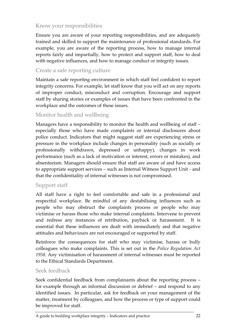#### Know your responsibilities

Ensure you are aware of your reporting responsibilities, and are adequately trained and skilled to support the maintenance of professional standards. For example, you are aware of the reporting process, how to manage internal reports fairly and impartially, how to protect and support staff, how to deal with negative influences, and how to manage conduct or integrity issues.

#### Create a safe reporting culture

Maintain a safe reporting environment in which staff feel confident to report integrity concerns. For example, let staff know that you will act on any reports of improper conduct, misconduct and corruption. Encourage and support staff by sharing stories or examples of issues that have been confronted in the workplace and the outcomes of these issues.

#### Monitor health and wellbeing

Managers have a responsibility to monitor the health and wellbeing of staff – especially those who have made complaints or internal disclosures about police conduct. Indicators that might suggest staff are experiencing stress or pressure in the workplace include changes in personality (such as socially or professionally withdrawn, depressed or unhappy), changes in work performance (such as a lack of motivation or interest, errors or mistakes), and absenteeism. Managers should ensure that staff are aware of and have access to appropriate support services – such as Internal Witness Support Unit - and that the confidentiality of internal witnesses is not compromised.

#### Support staff

All staff have a right to feel comfortable and safe in a professional and respectful workplace. Be mindful of any destabilising influences such as people who may obstruct the complaints process or people who may victimise or harass those who make internal complaints. Intervene to prevent and redress any instances of retribution, payback or harassment. It is essential that these influences are dealt with immediately and that negative attitudes and behaviours are not encouraged or supported by staff.

Reinforce the consequences for staff who may victimise, harass or bully colleagues who make complaints. This is set out in the Police Regulation Act 1958. Any victimisation of harassment of internal witnesses must be reported to the Ethical Standards Department.

#### Seek feedback

Seek confidential feedback from complainants about the reporting process – for example through an informal discussion or debrief – and respond to any identified issues. In particular, ask for feedback on your management of the matter, treatment by colleagues, and how the process or type of support could be improved for staff.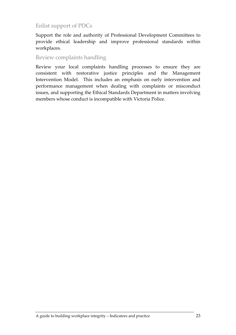#### Enlist support of PDCs

Support the role and authority of Professional Development Committees to provide ethical leadership and improve professional standards within workplaces.

#### Review complaints handling

Review your local complaints handling processes to ensure they are consistent with restorative justice principles and the Management Intervention Model. This includes an emphasis on early intervention and performance management when dealing with complaints or misconduct issues, and supporting the Ethical Standards Department in matters involving members whose conduct is incompatible with Victoria Police.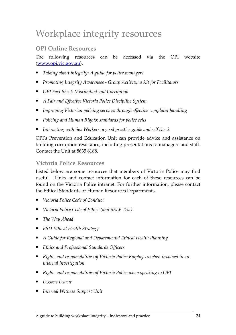# Workplace integrity resources

### OPI Online Resources

The following resources can be accessed via the OPI website (www.opi.vic.gov.au).

- Talking about integrity: A guide for police managers
- Promoting Integrity Awareness Group Activity: a Kit for Facilitators
- OPI Fact Sheet: Misconduct and Corruption
- A Fair and Effective Victoria Police Discipline System
- Improving Victorian policing services through effective complaint handling
- Policing and Human Rights: standards for police cells
- Interacting with Sex Workers: a good practice guide and self check

OPI's Prevention and Education Unit can provide advice and assistance on building corruption resistance, including presentations to managers and staff. Contact the Unit at 8635 6188.

#### Victoria Police Resources

Listed below are some resources that members of Victoria Police may find useful. Links and contact information for each of these resources can be found on the Victoria Police intranet. For further information, please contact the Ethical Standards or Human Resources Departments.

- Victoria Police Code of Conduct
- Victoria Police Code of Ethics (and SELF Test)
- The Way Ahead
- ESD Ethical Health Strategy
- A Guide for Regional and Departmental Ethical Health Planning
- Ethics and Professional Standards Officers
- Rights and responsibilities of Victoria Police Employees when involved in an internal investigation
- Rights and responsibilities of Victoria Police when speaking to OPI
- Lessons Learnt
- Internal Witness Support Unit